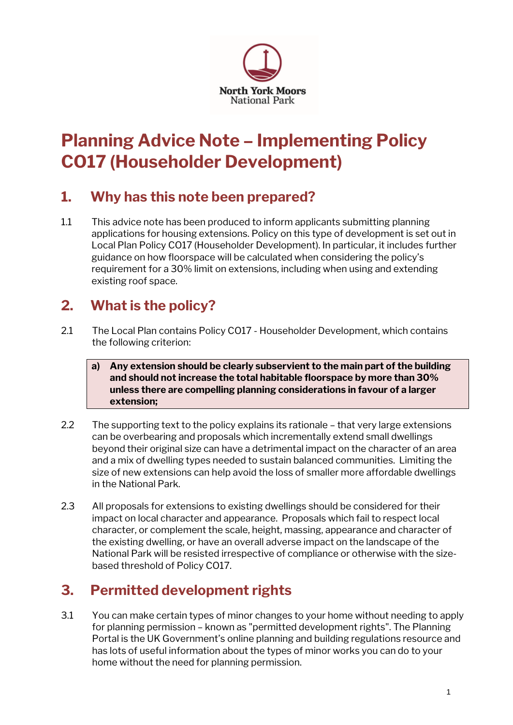

# **Planning Advice Note – Implementing Policy CO17 (Householder Development)**

#### **1. Why has this note been prepared?**

1.1 This advice note has been produced to inform applicants submitting planning applications for housing extensions. Policy on this type of development is set out in Local Plan Policy CO17 (Householder Development). In particular, it includes further guidance on how floorspace will be calculated when considering the policy's requirement for a 30% limit on extensions, including when using and extending existing roof space.

# **2. What is the policy?**

2.1 The Local Plan contains Policy CO17 - Householder Development, which contains the following criterion:

#### **a) Any extension should be clearly subservient to the main part of the building and should not increase the total habitable floorspace by more than 30% unless there are compelling planning considerations in favour of a larger extension;**

- 2.2 The supporting text to the policy explains its rationale that very large extensions can be overbearing and proposals which incrementally extend small dwellings beyond their original size can have a detrimental impact on the character of an area and a mix of dwelling types needed to sustain balanced communities. Limiting the size of new extensions can help avoid the loss of smaller more affordable dwellings in the National Park.
- 2.3 All proposals for extensions to existing dwellings should be considered for their impact on local character and appearance. Proposals which fail to respect local character, or complement the scale, height, massing, appearance and character of the existing dwelling, or have an overall adverse impact on the landscape of the National Park will be resisted irrespective of compliance or otherwise with the sizebased threshold of Policy CO17.

# **3. Permitted development rights**

3.1 You can make certain types of minor changes to your home without needing to apply for planning permission – known as "permitted development rights". The Planning Portal is the UK Government's online planning and building regulations resource and has lots of useful information about the types of minor works you can do to your home without the need for planning permission.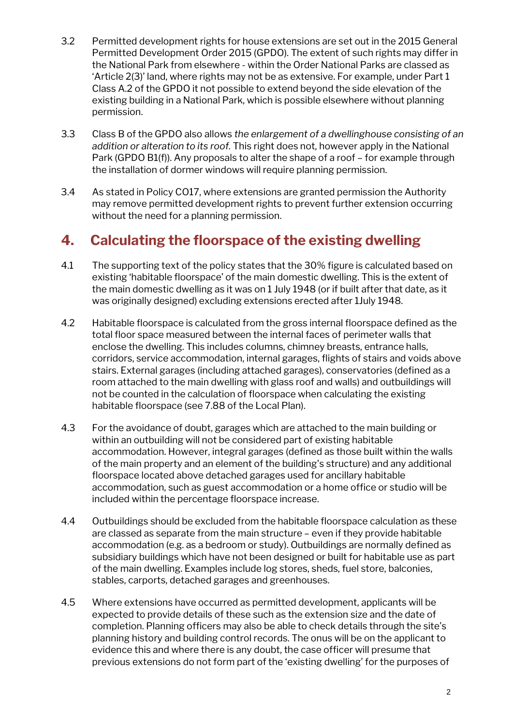- 3.2 Permitted development rights for house extensions are set out in the 2015 General Permitted Development Order 2015 (GPDO). The extent of such rights may differ in the National Park from elsewhere - within the Order National Parks are classed as 'Article 2(3)' land, where rights may not be as extensive. For example, under Part 1 Class A.2 of the GPDO it not possible to extend beyond the side elevation of the existing building in a National Park, which is possible elsewhere without planning permission.
- 3.3 Class B of the GPDO also allows *the enlargement of a dwellinghouse consisting of an addition or alteration to its roof.* This right does not, however apply in the National Park (GPDO B1(f)). Any proposals to alter the shape of a roof – for example through the installation of dormer windows will require planning permission.
- 3.4 As stated in Policy CO17, where extensions are granted permission the Authority may remove permitted development rights to prevent further extension occurring without the need for a planning permission.

#### **4. Calculating the floorspace of the existing dwelling**

- 4.1 The supporting text of the policy states that the 30% figure is calculated based on existing 'habitable floorspace' of the main domestic dwelling. This is the extent of the main domestic dwelling as it was on 1 July 1948 (or if built after that date, as it was originally designed) excluding extensions erected after 1July 1948.
- 4.2 Habitable floorspace is calculated from the gross internal floorspace defined as the total floor space measured between the internal faces of perimeter walls that enclose the dwelling. This includes columns, chimney breasts, entrance halls, corridors, service accommodation, internal garages, flights of stairs and voids above stairs. External garages (including attached garages), conservatories (defined as a room attached to the main dwelling with glass roof and walls) and outbuildings will not be counted in the calculation of floorspace when calculating the existing habitable floorspace (see 7.88 of the Local Plan).
- 4.3 For the avoidance of doubt, garages which are attached to the main building or within an outbuilding will not be considered part of existing habitable accommodation. However, integral garages (defined as those built within the walls of the main property and an element of the building's structure) and any additional floorspace located above detached garages used for ancillary habitable accommodation, such as guest accommodation or a home office or studio will be included within the percentage floorspace increase.
- 4.4 Outbuildings should be excluded from the habitable floorspace calculation as these are classed as separate from the main structure – even if they provide habitable accommodation (e.g. as a bedroom or study). Outbuildings are normally defined as subsidiary buildings which have not been designed or built for habitable use as part of the main dwelling. Examples include log stores, sheds, fuel store, balconies, stables, carports, detached garages and greenhouses.
- 4.5 Where extensions have occurred as permitted development, applicants will be expected to provide details of these such as the extension size and the date of completion. Planning officers may also be able to check details through the site's planning history and building control records. The onus will be on the applicant to evidence this and where there is any doubt, the case officer will presume that previous extensions do not form part of the 'existing dwelling' for the purposes of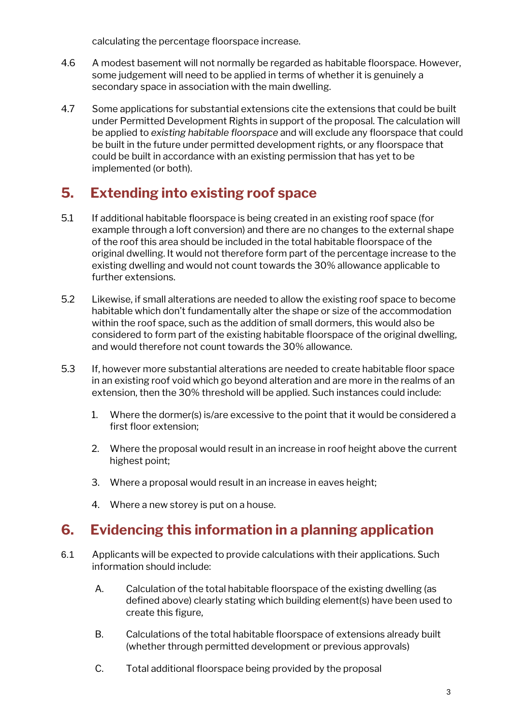calculating the percentage floorspace increase.

- 4.6 A modest basement will not normally be regarded as habitable floorspace. However, some judgement will need to be applied in terms of whether it is genuinely a secondary space in association with the main dwelling.
- 4.7 Some applications for substantial extensions cite the extensions that could be built under Permitted Development Rights in support of the proposal. The calculation will be applied to *existing habitable floorspace* and will exclude any floorspace that could be built in the future under permitted development rights, or any floorspace that could be built in accordance with an existing permission that has yet to be implemented (or both).

## **5. Extending into existing roof space**

- 5.1 If additional habitable floorspace is being created in an existing roof space (for example through a loft conversion) and there are no changes to the external shape of the roof this area should be included in the total habitable floorspace of the original dwelling. It would not therefore form part of the percentage increase to the existing dwelling and would not count towards the 30% allowance applicable to further extensions.
- 5.2 Likewise, if small alterations are needed to allow the existing roof space to become habitable which don't fundamentally alter the shape or size of the accommodation within the roof space, such as the addition of small dormers, this would also be considered to form part of the existing habitable floorspace of the original dwelling, and would therefore not count towards the 30% allowance.
- 5.3 If, however more substantial alterations are needed to create habitable floor space in an existing roof void which go beyond alteration and are more in the realms of an extension, then the 30% threshold will be applied. Such instances could include:
	- 1. Where the dormer(s) is/are excessive to the point that it would be considered a first floor extension;
	- 2. Where the proposal would result in an increase in roof height above the current highest point;
	- 3. Where a proposal would result in an increase in eaves height;
	- 4. Where a new storey is put on a house.

### **6. Evidencing this information in a planning application**

- 6.1 Applicants will be expected to provide calculations with their applications. Such information should include:
	- A. Calculation of the total habitable floorspace of the existing dwelling (as defined above) clearly stating which building element(s) have been used to create this figure,
	- B. Calculations of the total habitable floorspace of extensions already built (whether through permitted development or previous approvals)
	- C. Total additional floorspace being provided by the proposal